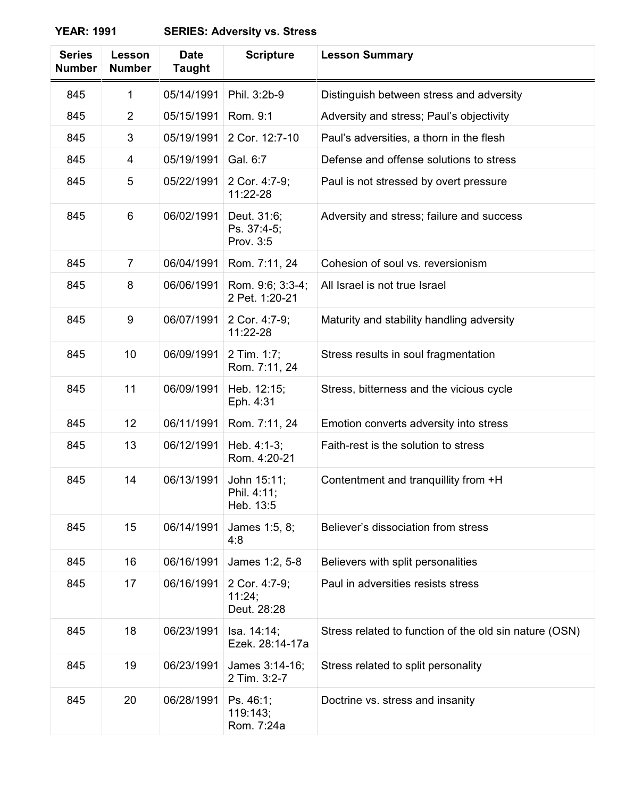## **YEAR: 1991 SERIES: Adversity vs. Stress**

| <b>Series</b><br><b>Number</b> | Lesson<br><b>Number</b> | <b>Date</b><br><b>Taught</b> | <b>Scripture</b>                        | <b>Lesson Summary</b>                                  |
|--------------------------------|-------------------------|------------------------------|-----------------------------------------|--------------------------------------------------------|
| 845                            | 1                       | 05/14/1991                   | Phil. 3:2b-9                            | Distinguish between stress and adversity               |
| 845                            | $\overline{2}$          | 05/15/1991                   | Rom. 9:1                                | Adversity and stress; Paul's objectivity               |
| 845                            | 3                       | 05/19/1991                   | 2 Cor. 12:7-10                          | Paul's adversities, a thorn in the flesh               |
| 845                            | 4                       | 05/19/1991                   | Gal. 6:7                                | Defense and offense solutions to stress                |
| 845                            | 5                       | 05/22/1991                   | 2 Cor. 4:7-9;<br>11:22-28               | Paul is not stressed by overt pressure                 |
| 845                            | 6                       | 06/02/1991                   | Deut. 31:6;<br>Ps. 37:4-5;<br>Prov. 3:5 | Adversity and stress; failure and success              |
| 845                            | $\overline{7}$          | 06/04/1991                   | Rom. 7:11, 24                           | Cohesion of soul vs. reversionism                      |
| 845                            | 8                       | 06/06/1991                   | Rom. 9:6; 3:3-4;<br>2 Pet. 1:20-21      | All Israel is not true Israel                          |
| 845                            | 9                       | 06/07/1991                   | 2 Cor. 4:7-9;<br>11:22-28               | Maturity and stability handling adversity              |
| 845                            | 10                      | 06/09/1991                   | 2 Tim. 1:7;<br>Rom. 7:11, 24            | Stress results in soul fragmentation                   |
| 845                            | 11                      | 06/09/1991                   | Heb. 12:15;<br>Eph. 4:31                | Stress, bitterness and the vicious cycle               |
| 845                            | 12                      | 06/11/1991                   | Rom. 7:11, 24                           | Emotion converts adversity into stress                 |
| 845                            | 13                      | 06/12/1991                   | Heb. 4:1-3;<br>Rom. 4:20-21             | Faith-rest is the solution to stress                   |
| 845                            | 14                      | 06/13/1991                   | John 15:11;<br>Phil. 4:11;<br>Heb. 13:5 | Contentment and tranquillity from +H                   |
| 845                            | 15                      | 06/14/1991                   | James 1:5, 8;<br>4:8                    | Believer's dissociation from stress                    |
| 845                            | 16                      | 06/16/1991                   | James 1:2, 5-8                          | Believers with split personalities                     |
| 845                            | 17                      | 06/16/1991                   | 2 Cor. 4:7-9;<br>11:24;<br>Deut. 28:28  | Paul in adversities resists stress                     |
| 845                            | 18                      | 06/23/1991                   | Isa. 14:14;<br>Ezek. 28:14-17a          | Stress related to function of the old sin nature (OSN) |
| 845                            | 19                      | 06/23/1991                   | James 3:14-16;<br>2 Tim. 3:2-7          | Stress related to split personality                    |
| 845                            | 20                      | 06/28/1991                   | Ps. 46:1;<br>119:143;<br>Rom. 7:24a     | Doctrine vs. stress and insanity                       |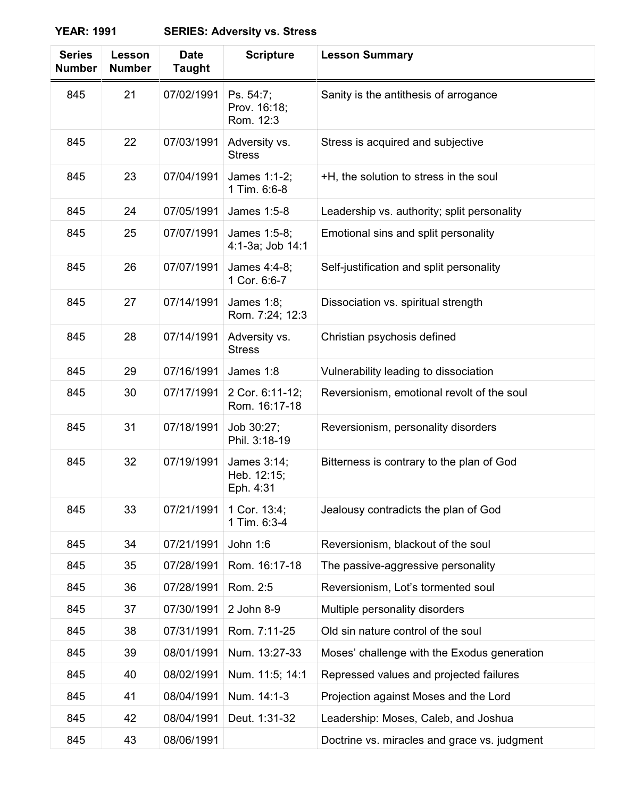**YEAR: 1991 SERIES: Adversity vs. Stress**

| <b>Series</b><br><b>Number</b> | Lesson<br><b>Number</b> | <b>Date</b><br><b>Taught</b> | <b>Scripture</b>                        | <b>Lesson Summary</b>                        |
|--------------------------------|-------------------------|------------------------------|-----------------------------------------|----------------------------------------------|
| 845                            | 21                      | 07/02/1991                   | Ps. 54:7;<br>Prov. 16:18;<br>Rom. 12:3  | Sanity is the antithesis of arrogance        |
| 845                            | 22                      | 07/03/1991                   | Adversity vs.<br><b>Stress</b>          | Stress is acquired and subjective            |
| 845                            | 23                      | 07/04/1991                   | James 1:1-2;<br>1 Tim. 6:6-8            | +H, the solution to stress in the soul       |
| 845                            | 24                      | 07/05/1991                   | James 1:5-8                             | Leadership vs. authority; split personality  |
| 845                            | 25                      | 07/07/1991                   | James 1:5-8;<br>4:1-3a; Job 14:1        | Emotional sins and split personality         |
| 845                            | 26                      | 07/07/1991                   | James 4:4-8;<br>1 Cor. 6:6-7            | Self-justification and split personality     |
| 845                            | 27                      | 07/14/1991                   | James 1:8;<br>Rom. 7:24; 12:3           | Dissociation vs. spiritual strength          |
| 845                            | 28                      | 07/14/1991                   | Adversity vs.<br><b>Stress</b>          | Christian psychosis defined                  |
| 845                            | 29                      | 07/16/1991                   | James 1:8                               | Vulnerability leading to dissociation        |
| 845                            | 30                      | 07/17/1991                   | 2 Cor. 6:11-12;<br>Rom. 16:17-18        | Reversionism, emotional revolt of the soul   |
| 845                            | 31                      | 07/18/1991                   | Job 30:27;<br>Phil. 3:18-19             | Reversionism, personality disorders          |
| 845                            | 32                      | 07/19/1991                   | James 3:14;<br>Heb. 12:15;<br>Eph. 4:31 | Bitterness is contrary to the plan of God    |
| 845                            | 33                      | 07/21/1991                   | 1 Cor. 13:4;<br>1 Tim. 6:3-4            | Jealousy contradicts the plan of God         |
| 845                            | 34                      | 07/21/1991                   | John 1:6                                | Reversionism, blackout of the soul           |
| 845                            | 35                      | 07/28/1991                   | Rom. 16:17-18                           | The passive-aggressive personality           |
| 845                            | 36                      | 07/28/1991                   | Rom. 2:5                                | Reversionism, Lot's tormented soul           |
| 845                            | 37                      | 07/30/1991                   | 2 John 8-9                              | Multiple personality disorders               |
| 845                            | 38                      | 07/31/1991                   | Rom. 7:11-25                            | Old sin nature control of the soul           |
| 845                            | 39                      | 08/01/1991                   | Num. 13:27-33                           | Moses' challenge with the Exodus generation  |
| 845                            | 40                      | 08/02/1991                   | Num. 11:5; 14:1                         | Repressed values and projected failures      |
| 845                            | 41                      | 08/04/1991                   | Num. 14:1-3                             | Projection against Moses and the Lord        |
| 845                            | 42                      | 08/04/1991                   | Deut. 1:31-32                           | Leadership: Moses, Caleb, and Joshua         |
| 845                            | 43                      | 08/06/1991                   |                                         | Doctrine vs. miracles and grace vs. judgment |